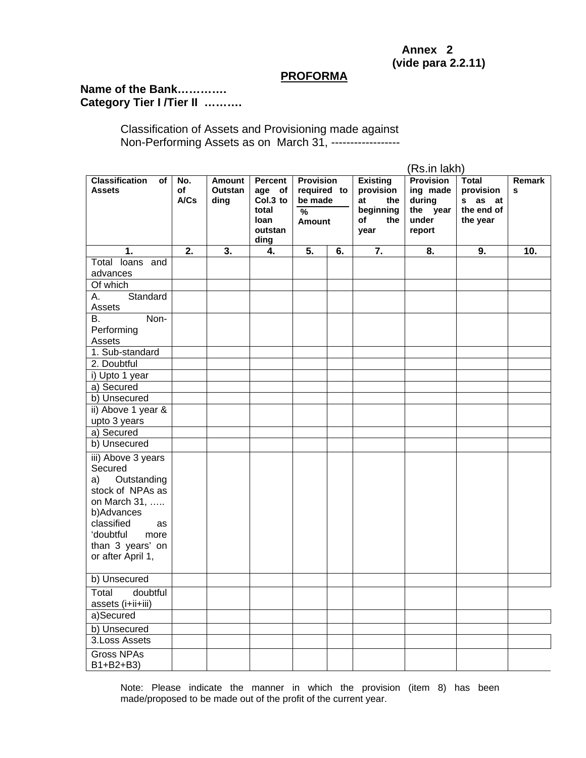## **Annex 2 (vide para 2.2.11)**

## **PROFORMA**

## **Name of the Bank…………. Category Tier I /Tier II ……….**

Classification of Assets and Provisioning made against Non-Performing Assets as on March 31, ------------------

|                                                                                                                                                                                        |                   |                           |                                                                          |                                                                       |    |                                                                             | (Rs.in lakh)                                                          |                                                                |             |
|----------------------------------------------------------------------------------------------------------------------------------------------------------------------------------------|-------------------|---------------------------|--------------------------------------------------------------------------|-----------------------------------------------------------------------|----|-----------------------------------------------------------------------------|-----------------------------------------------------------------------|----------------------------------------------------------------|-------------|
| <b>Classification</b><br>of<br><b>Assets</b>                                                                                                                                           | No.<br>of<br>A/Cs | Amount<br>Outstan<br>ding | <b>Percent</b><br>age of<br>Col.3 to<br>total<br>loan<br>outstan<br>ding | <b>Provision</b><br>required to<br>be made<br>$\frac{9}{6}$<br>Amount |    | <b>Existing</b><br>provision<br>at<br>the<br>beginning<br>of<br>the<br>year | <b>Provision</b><br>ing made<br>during<br>the year<br>under<br>report | <b>Total</b><br>provision<br>s as at<br>the end of<br>the year | Remark<br>s |
| 1.                                                                                                                                                                                     | 2.                | 3.                        | 4.                                                                       | 5.                                                                    | 6. | 7.                                                                          | 8.                                                                    | 9.                                                             | 10.         |
| Total loans and                                                                                                                                                                        |                   |                           |                                                                          |                                                                       |    |                                                                             |                                                                       |                                                                |             |
| advances                                                                                                                                                                               |                   |                           |                                                                          |                                                                       |    |                                                                             |                                                                       |                                                                |             |
| Of which                                                                                                                                                                               |                   |                           |                                                                          |                                                                       |    |                                                                             |                                                                       |                                                                |             |
| Standard<br>А.<br>Assets                                                                                                                                                               |                   |                           |                                                                          |                                                                       |    |                                                                             |                                                                       |                                                                |             |
| Non-<br>В.<br>Performing<br>Assets                                                                                                                                                     |                   |                           |                                                                          |                                                                       |    |                                                                             |                                                                       |                                                                |             |
| 1. Sub-standard                                                                                                                                                                        |                   |                           |                                                                          |                                                                       |    |                                                                             |                                                                       |                                                                |             |
| 2. Doubtful                                                                                                                                                                            |                   |                           |                                                                          |                                                                       |    |                                                                             |                                                                       |                                                                |             |
| i) Upto 1 year                                                                                                                                                                         |                   |                           |                                                                          |                                                                       |    |                                                                             |                                                                       |                                                                |             |
| a) Secured                                                                                                                                                                             |                   |                           |                                                                          |                                                                       |    |                                                                             |                                                                       |                                                                |             |
| b) Unsecured                                                                                                                                                                           |                   |                           |                                                                          |                                                                       |    |                                                                             |                                                                       |                                                                |             |
| ii) Above 1 year &                                                                                                                                                                     |                   |                           |                                                                          |                                                                       |    |                                                                             |                                                                       |                                                                |             |
| upto 3 years                                                                                                                                                                           |                   |                           |                                                                          |                                                                       |    |                                                                             |                                                                       |                                                                |             |
| a) Secured                                                                                                                                                                             |                   |                           |                                                                          |                                                                       |    |                                                                             |                                                                       |                                                                |             |
| b) Unsecured                                                                                                                                                                           |                   |                           |                                                                          |                                                                       |    |                                                                             |                                                                       |                                                                |             |
| iii) Above 3 years<br>Secured<br>Outstanding<br>a)<br>stock of NPAs as<br>on March 31,<br>b)Advances<br>classified<br>as<br>'doubtful<br>more<br>than 3 years' on<br>or after April 1, |                   |                           |                                                                          |                                                                       |    |                                                                             |                                                                       |                                                                |             |
| b) Unsecured                                                                                                                                                                           |                   |                           |                                                                          |                                                                       |    |                                                                             |                                                                       |                                                                |             |
| Total<br>doubtful<br>assets (i+ii+iii)                                                                                                                                                 |                   |                           |                                                                          |                                                                       |    |                                                                             |                                                                       |                                                                |             |
| a)Secured                                                                                                                                                                              |                   |                           |                                                                          |                                                                       |    |                                                                             |                                                                       |                                                                |             |
| b) Unsecured                                                                                                                                                                           |                   |                           |                                                                          |                                                                       |    |                                                                             |                                                                       |                                                                |             |
| 3. Loss Assets                                                                                                                                                                         |                   |                           |                                                                          |                                                                       |    |                                                                             |                                                                       |                                                                |             |
| <b>Gross NPAs</b><br>B1+B2+B3)                                                                                                                                                         |                   |                           |                                                                          |                                                                       |    |                                                                             |                                                                       |                                                                |             |

Note: Please indicate the manner in which the provision (item 8) has been made/proposed to be made out of the profit of the current year.